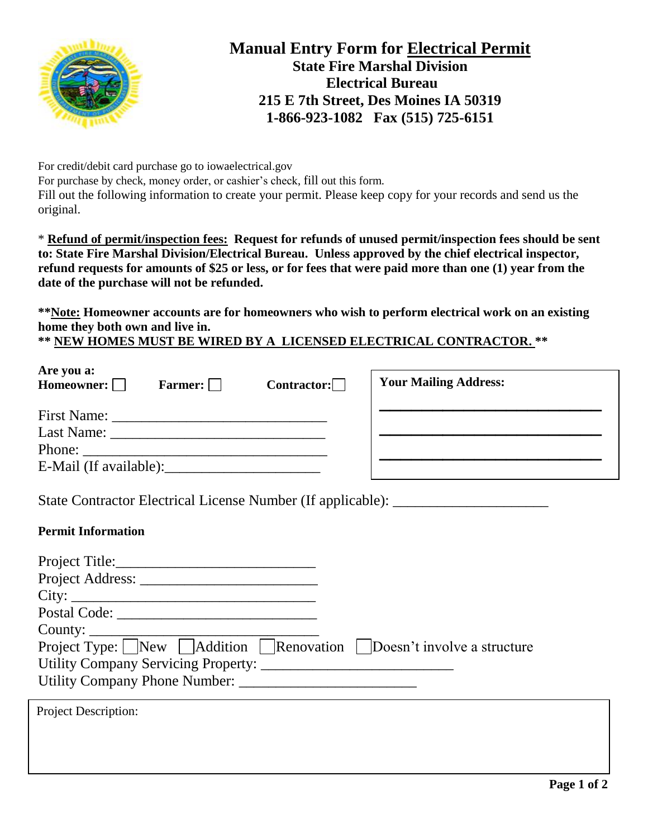

## **Manual Entry Form for Electrical Permit State Fire Marshal Division Electrical Bureau 215 E 7th Street, Des Moines IA 50319 1-866-923-1082 Fax (515) 725-6151**

For credit/debit card purchase go to iowaelectrical.gov For purchase by check, money order, or cashier's check, fill out this form. Fill out the following information to create your permit. Please keep copy for your records and send us the original.

\* **Refund of permit/inspection fees: Request for refunds of unused permit/inspection fees should be sent to: State Fire Marshal Division/Electrical Bureau. Unless approved by the chief electrical inspector, refund requests for amounts of \$25 or less, or for fees that were paid more than one (1) year from the date of the purchase will not be refunded.**

**\*\*Note: Homeowner accounts are for homeowners who wish to perform electrical work on an existing home they both own and live in.**

**\*\* NEW HOMES MUST BE WIRED BY A LICENSED ELECTRICAL CONTRACTOR. \*\***

| Are you a:<br>Homeowner: $\Box$ | Farmer: $\Box$ | Contractor: | <b>Your Mailing Address:</b> |
|---------------------------------|----------------|-------------|------------------------------|
| <b>First Name:</b>              |                |             |                              |
| Last Name:                      |                |             |                              |
| Phone:                          |                |             |                              |
| E-Mail (If available):          |                |             |                              |

State Contractor Electrical License Number (If applicable): \_\_\_\_\_\_\_\_\_\_\_\_\_\_\_\_\_\_\_\_

## **Permit Information**

| Project Title: 2008                                                                                                         |  |
|-----------------------------------------------------------------------------------------------------------------------------|--|
| City:                                                                                                                       |  |
|                                                                                                                             |  |
|                                                                                                                             |  |
| Project Type: $\sqrt{\frac{1}{N}$ Addition $\sqrt{\frac{1}{N}}$ Renovation $\sqrt{\frac{1}{N}}$ Doesn't involve a structure |  |
| Utility Company Servicing Property:                                                                                         |  |
|                                                                                                                             |  |
| <b>Project Description:</b>                                                                                                 |  |
|                                                                                                                             |  |
|                                                                                                                             |  |
|                                                                                                                             |  |